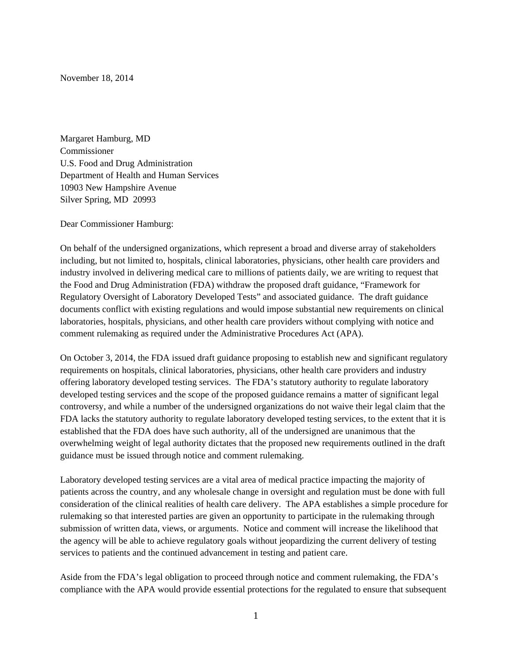November 18, 2014

Margaret Hamburg, MD Commissioner U.S. Food and Drug Administration Department of Health and Human Services 10903 New Hampshire Avenue Silver Spring, MD 20993

Dear Commissioner Hamburg:

On behalf of the undersigned organizations, which represent a broad and diverse array of stakeholders including, but not limited to, hospitals, clinical laboratories, physicians, other health care providers and industry involved in delivering medical care to millions of patients daily, we are writing to request that the Food and Drug Administration (FDA) withdraw the proposed draft guidance, "Framework for Regulatory Oversight of Laboratory Developed Tests" and associated guidance. The draft guidance documents conflict with existing regulations and would impose substantial new requirements on clinical laboratories, hospitals, physicians, and other health care providers without complying with notice and comment rulemaking as required under the Administrative Procedures Act (APA).

On October 3, 2014, the FDA issued draft guidance proposing to establish new and significant regulatory requirements on hospitals, clinical laboratories, physicians, other health care providers and industry offering laboratory developed testing services. The FDA's statutory authority to regulate laboratory developed testing services and the scope of the proposed guidance remains a matter of significant legal controversy, and while a number of the undersigned organizations do not waive their legal claim that the FDA lacks the statutory authority to regulate laboratory developed testing services, to the extent that it is established that the FDA does have such authority, all of the undersigned are unanimous that the overwhelming weight of legal authority dictates that the proposed new requirements outlined in the draft guidance must be issued through notice and comment rulemaking.

Laboratory developed testing services are a vital area of medical practice impacting the majority of patients across the country, and any wholesale change in oversight and regulation must be done with full consideration of the clinical realities of health care delivery. The APA establishes a simple procedure for rulemaking so that interested parties are given an opportunity to participate in the rulemaking through submission of written data, views, or arguments. Notice and comment will increase the likelihood that the agency will be able to achieve regulatory goals without jeopardizing the current delivery of testing services to patients and the continued advancement in testing and patient care.

Aside from the FDA's legal obligation to proceed through notice and comment rulemaking, the FDA's compliance with the APA would provide essential protections for the regulated to ensure that subsequent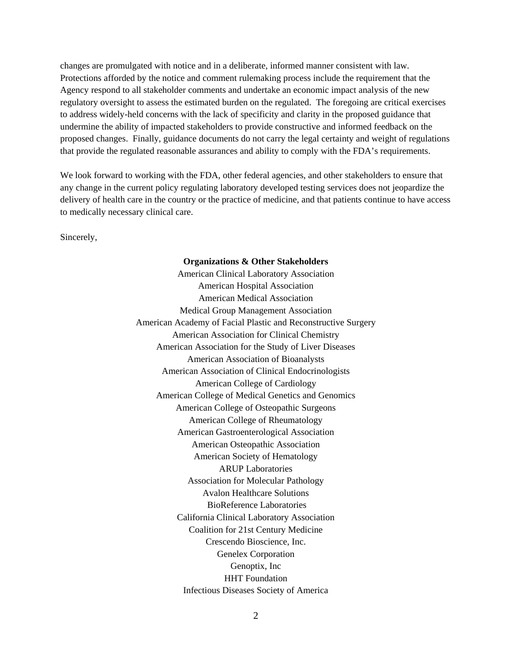changes are promulgated with notice and in a deliberate, informed manner consistent with law. Protections afforded by the notice and comment rulemaking process include the requirement that the Agency respond to all stakeholder comments and undertake an economic impact analysis of the new regulatory oversight to assess the estimated burden on the regulated. The foregoing are critical exercises to address widely-held concerns with the lack of specificity and clarity in the proposed guidance that undermine the ability of impacted stakeholders to provide constructive and informed feedback on the proposed changes. Finally, guidance documents do not carry the legal certainty and weight of regulations that provide the regulated reasonable assurances and ability to comply with the FDA's requirements.

We look forward to working with the FDA, other federal agencies, and other stakeholders to ensure that any change in the current policy regulating laboratory developed testing services does not jeopardize the delivery of health care in the country or the practice of medicine, and that patients continue to have access to medically necessary clinical care.

Sincerely,

## **Organizations & Other Stakeholders**

American Clinical Laboratory Association American Hospital Association American Medical Association Medical Group Management Association American Academy of Facial Plastic and Reconstructive Surgery American Association for Clinical Chemistry American Association for the Study of Liver Diseases American Association of Bioanalysts American Association of Clinical Endocrinologists American College of Cardiology American College of Medical Genetics and Genomics American College of Osteopathic Surgeons American College of Rheumatology American Gastroenterological Association American Osteopathic Association American Society of Hematology ARUP Laboratories Association for Molecular Pathology Avalon Healthcare Solutions BioReference Laboratories California Clinical Laboratory Association Coalition for 21st Century Medicine Crescendo Bioscience, Inc. Genelex Corporation Genoptix, Inc HHT Foundation Infectious Diseases Society of America